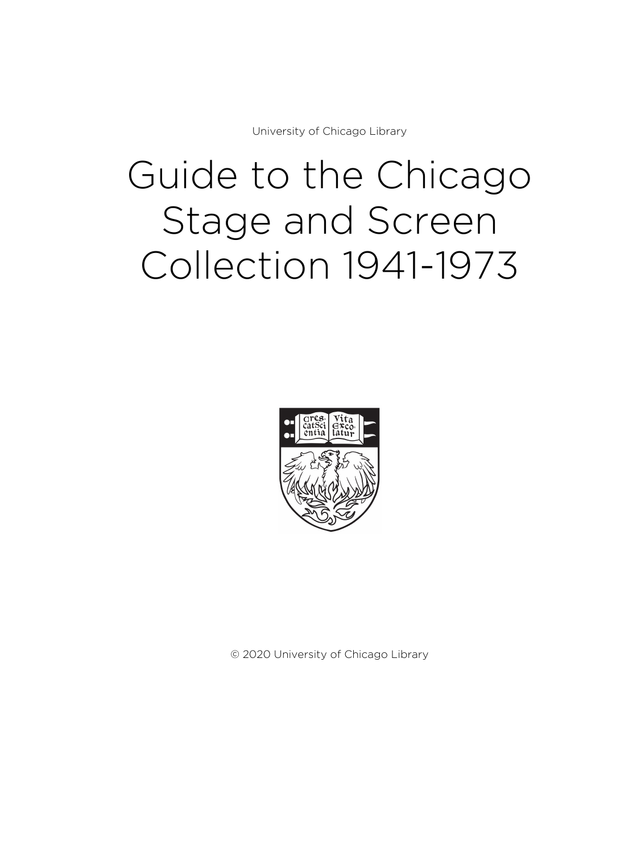University of Chicago Library

# Guide to the Chicago Stage and Screen Collection 1941-1973



© 2020 University of Chicago Library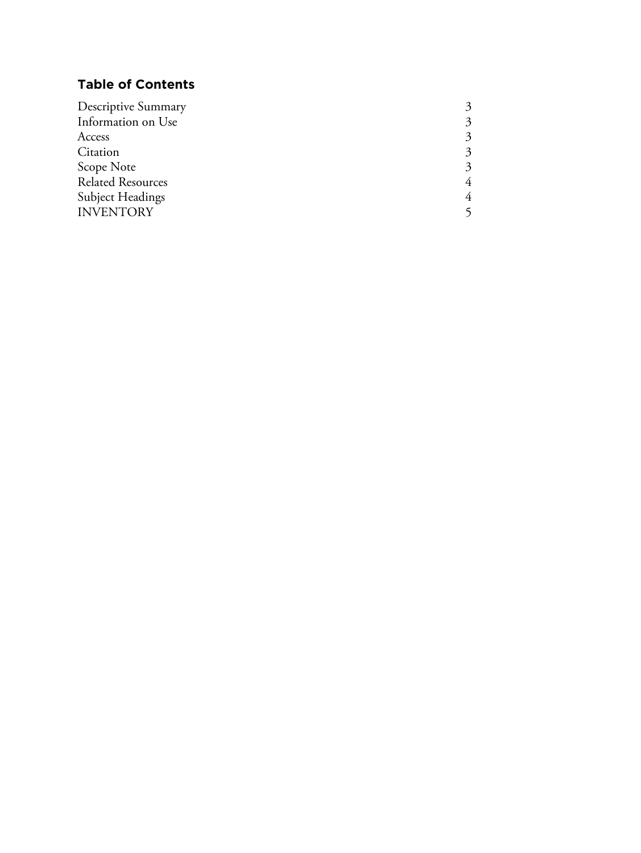# **Table of Contents**

| Descriptive Summary      |  |
|--------------------------|--|
| Information on Use       |  |
| Access                   |  |
| Citation                 |  |
| Scope Note               |  |
| <b>Related Resources</b> |  |
| <b>Subject Headings</b>  |  |
| <b>INVENTORY</b>         |  |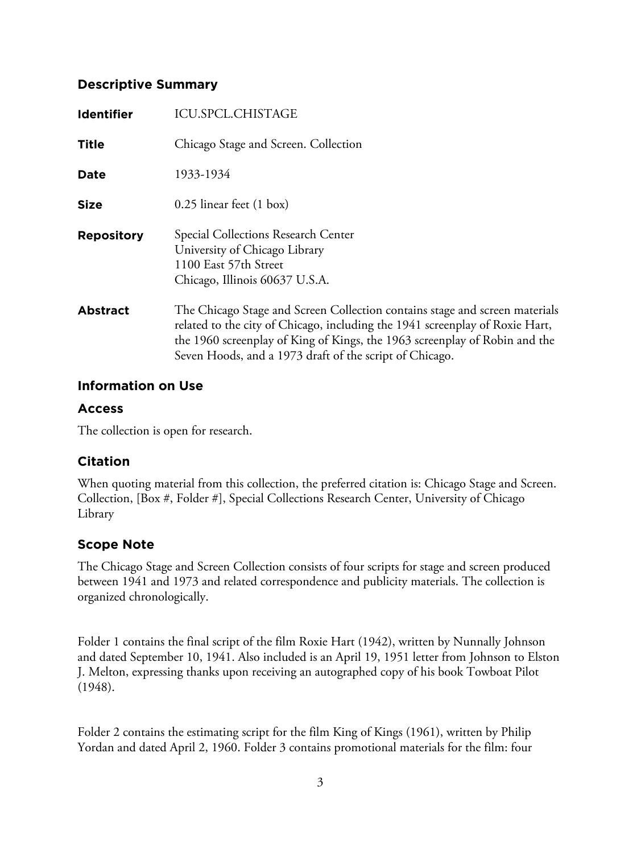## **Descriptive Summary**

| <b>Identifier</b> | ICU.SPCL.CHISTAGE                                                                                                                                                                                                                                                                                    |
|-------------------|------------------------------------------------------------------------------------------------------------------------------------------------------------------------------------------------------------------------------------------------------------------------------------------------------|
| <b>Title</b>      | Chicago Stage and Screen. Collection                                                                                                                                                                                                                                                                 |
| Date              | 1933-1934                                                                                                                                                                                                                                                                                            |
| <b>Size</b>       | $0.25$ linear feet $(1 \text{ box})$                                                                                                                                                                                                                                                                 |
| <b>Repository</b> | Special Collections Research Center<br>University of Chicago Library<br>1100 East 57th Street<br>Chicago, Illinois 60637 U.S.A.                                                                                                                                                                      |
| <b>Abstract</b>   | The Chicago Stage and Screen Collection contains stage and screen materials<br>related to the city of Chicago, including the 1941 screenplay of Roxie Hart,<br>the 1960 screenplay of King of Kings, the 1963 screenplay of Robin and the<br>Seven Hoods, and a 1973 draft of the script of Chicago. |

## **Information on Use**

## **Access**

The collection is open for research.

## **Citation**

When quoting material from this collection, the preferred citation is: Chicago Stage and Screen. Collection, [Box #, Folder #], Special Collections Research Center, University of Chicago Library

## **Scope Note**

The Chicago Stage and Screen Collection consists of four scripts for stage and screen produced between 1941 and 1973 and related correspondence and publicity materials. The collection is organized chronologically.

Folder 1 contains the final script of the film Roxie Hart (1942), written by Nunnally Johnson and dated September 10, 1941. Also included is an April 19, 1951 letter from Johnson to Elston J. Melton, expressing thanks upon receiving an autographed copy of his book Towboat Pilot (1948).

Folder 2 contains the estimating script for the film King of Kings (1961), written by Philip Yordan and dated April 2, 1960. Folder 3 contains promotional materials for the film: four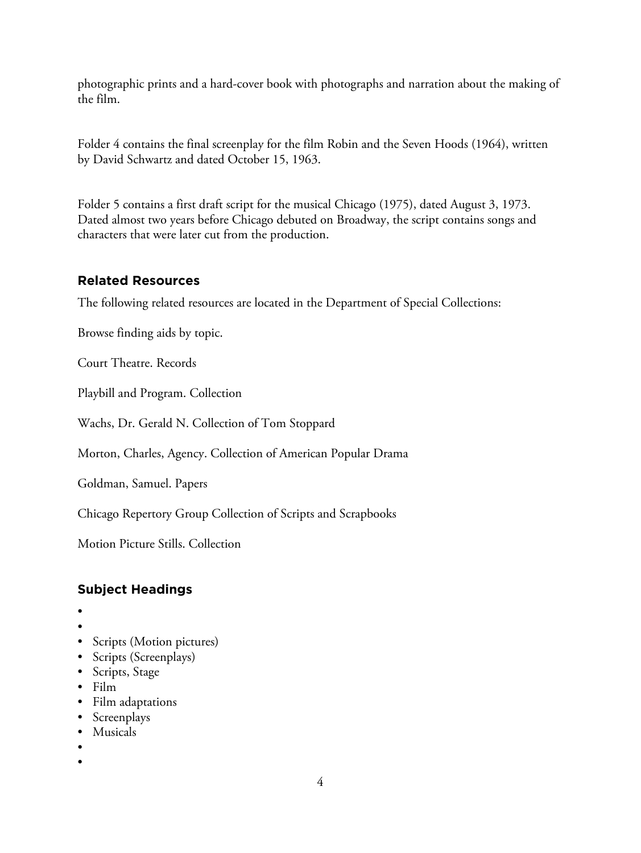photographic prints and a hard-cover book with photographs and narration about the making of the film.

Folder 4 contains the final screenplay for the film Robin and the Seven Hoods (1964), written by David Schwartz and dated October 15, 1963.

Folder 5 contains a first draft script for the musical Chicago (1975), dated August 3, 1973. Dated almost two years before Chicago debuted on Broadway, the script contains songs and characters that were later cut from the production.

## **Related Resources**

The following related resources are located in the Department of Special Collections:

Browse finding aids by topic.

Court Theatre. Records

Playbill and Program. Collection

Wachs, Dr. Gerald N. Collection of Tom Stoppard

Morton, Charles, Agency. Collection of American Popular Drama

Goldman, Samuel. Papers

Chicago Repertory Group Collection of Scripts and Scrapbooks

Motion Picture Stills. Collection

# **Subject Headings**

- •
- •
- Scripts (Motion pictures)
- Scripts (Screenplays)
- Scripts, Stage
- Film
- Film adaptations
- Screenplays
- Musicals
- •
- •